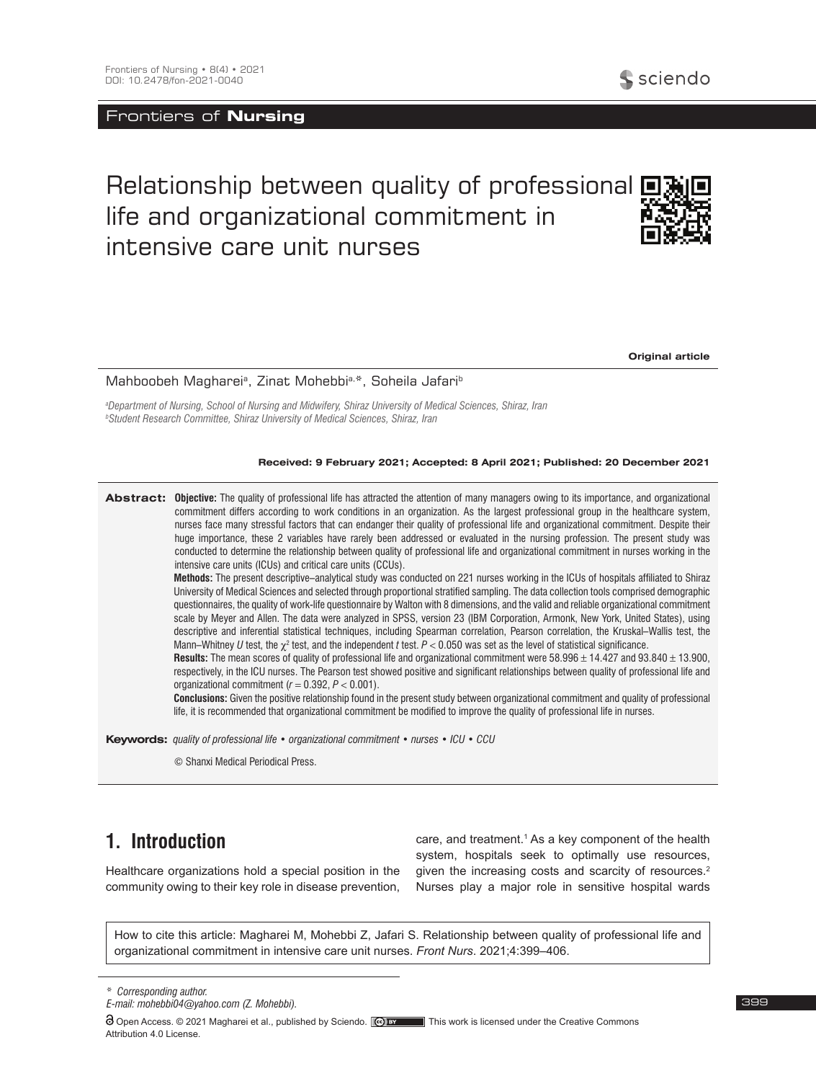### Frontiers of **Nursing**

# Relationship between quality of professional  $\blacksquare$ life and organizational commitment in intensive care unit nurses



**Original article**

Mahboobeh Maghareiª, Zinat Mohebbiª,\*, Soheila Jafariʰ

*a Department of Nursing, School of Nursing and Midwifery, Shiraz University of Medical Sciences, Shiraz, Iran b Student Research Committee, Shiraz University of Medical Sciences, Shiraz, Iran*

### **Received: 9 February 2021; Accepted: 8 April 2021; Published: 20 December 2021**

**Abstract: Objective:** The quality of professional life has attracted the attention of many managers owing to its importance, and organizational commitment differs according to work conditions in an organization. As the largest professional group in the healthcare system, nurses face many stressful factors that can endanger their quality of professional life and organizational commitment. Despite their huge importance, these 2 variables have rarely been addressed or evaluated in the nursing profession. The present study was conducted to determine the relationship between quality of professional life and organizational commitment in nurses working in the intensive care units (ICUs) and critical care units (CCUs).

**Methods:** The present descriptive–analytical study was conducted on 221 nurses working in the ICUs of hospitals affiliated to Shiraz University of Medical Sciences and selected through proportional stratified sampling. The data collection tools comprised demographic questionnaires, the quality of work-life questionnaire by Walton with 8 dimensions, and the valid and reliable organizational commitment scale by Meyer and Allen. The data were analyzed in SPSS, version 23 (IBM Corporation, Armonk, New York, United States), using descriptive and inferential statistical techniques, including Spearman correlation, Pearson correlation, the Kruskal–Wallis test, the Mann–Whitney  $U$  test, the  $\chi^2$  test, and the independent  $t$  test.  $P$  < 0.050 was set as the level of statistical significance.

**Results:** The mean scores of quality of professional life and organizational commitment were 58.996 ± 14.427 and 93.840 ± 13.900, respectively, in the ICU nurses. The Pearson test showed positive and significant relationships between quality of professional life and organizational commitment  $(r = 0.392, P < 0.001)$ .

**Conclusions:** Given the positive relationship found in the present study between organizational commitment and quality of professional life, it is recommended that organizational commitment be modified to improve the quality of professional life in nurses.

**Keywords:** *quality of professional life • organizational commitment • nurses • ICU • CCU*

© Shanxi Medical Periodical Press.

# **1. Introduction**

Healthcare organizations hold a special position in the community owing to their key role in disease prevention,

care, and treatment.<sup>1</sup> As a key component of the health system, hospitals seek to optimally use resources, given the increasing costs and scarcity of resources.<sup>2</sup> Nurses play a major role in sensitive hospital wards

How to cite this article: Magharei M, Mohebbi Z, Jafari S. Relationship between quality of professional life and organizational commitment in intensive care unit nurses. *Front Nurs*. 2021;4:399–406.

\* *Corresponding author.*

*E-mail: mohebbi04@yahoo.com (Z. Mohebbi).*

Open Access. © 2021 Magharei et al., published by Sciendo. (e) **For Faggior Commons** This work is licensed under the Creative Commons Attribution 4.0 License.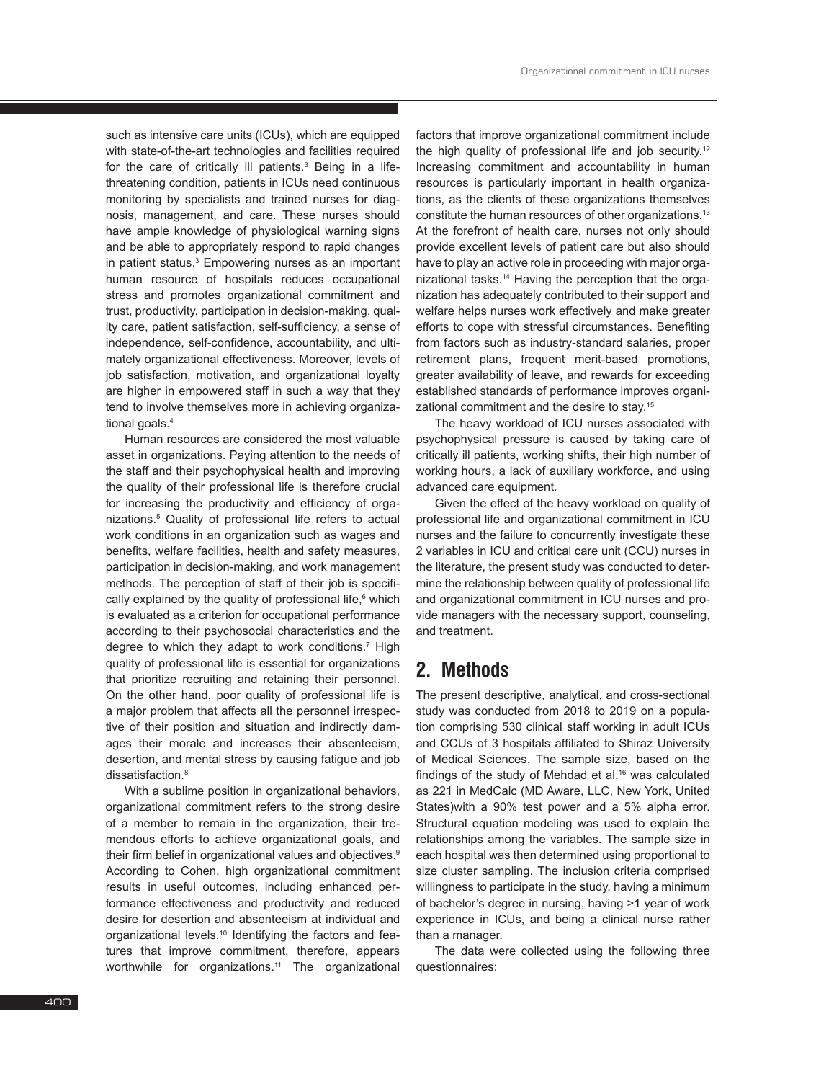such as intensive care units (ICUs), which are equipped with state-of-the-art technologies and facilities required for the care of critically ill patients.<sup>3</sup> Being in a lifethreatening condition, patients in ICUs need continuous monitoring by specialists and trained nurses for diagnosis, management, and care. These nurses should have ample knowledge of physiological warning signs and be able to appropriately respond to rapid changes in patient status.<sup>3</sup> Empowering nurses as an important human resource of hospitals reduces occupational stress and promotes organizational commitment and trust, productivity, participation in decision-making, quality care, patient satisfaction, self-sufficiency, a sense of independence, self-confidence, accountability, and ultimately organizational effectiveness. Moreover, levels of job satisfaction, motivation, and organizational loyalty are higher in empowered staff in such a way that they tend to involve themselves more in achieving organizational goals.<sup>4</sup>

Human resources are considered the most valuable asset in organizations. Paying attention to the needs of the staff and their psychophysical health and improving the quality of their professional life is therefore crucial for increasing the productivity and efficiency of organizations.5 Quality of professional life refers to actual work conditions in an organization such as wages and benefits, welfare facilities, health and safety measures, participation in decision-making, and work management methods. The perception of staff of their job is specifically explained by the quality of professional life,<sup>6</sup> which is evaluated as a criterion for occupational performance according to their psychosocial characteristics and the degree to which they adapt to work conditions.<sup>7</sup> High quality of professional life is essential for organizations that prioritize recruiting and retaining their personnel. On the other hand, poor quality of professional life is a major problem that affects all the personnel irrespective of their position and situation and indirectly damages their morale and increases their absenteeism, desertion, and mental stress by causing fatigue and job dissatisfaction<sup>8</sup>

With a sublime position in organizational behaviors, organizational commitment refers to the strong desire of a member to remain in the organization, their tremendous efforts to achieve organizational goals, and their firm belief in organizational values and objectives.<sup>9</sup> According to Cohen, high organizational commitment results in useful outcomes, including enhanced performance effectiveness and productivity and reduced desire for desertion and absenteeism at individual and organizational levels.<sup>10</sup> Identifying the factors and features that improve commitment, therefore, appears worthwhile for organizations.<sup>11</sup> The organizational factors that improve organizational commitment include the high quality of professional life and job security.<sup>12</sup> Increasing commitment and accountability in human resources is particularly important in health organizations, as the clients of these organizations themselves constitute the human resources of other organizations.13 At the forefront of health care, nurses not only should provide excellent levels of patient care but also should have to play an active role in proceeding with major organizational tasks.14 Having the perception that the organization has adequately contributed to their support and welfare helps nurses work effectively and make greater efforts to cope with stressful circumstances. Benefiting from factors such as industry-standard salaries, proper retirement plans, frequent merit-based promotions, greater availability of leave, and rewards for exceeding established standards of performance improves organizational commitment and the desire to stay.15

The heavy workload of ICU nurses associated with psychophysical pressure is caused by taking care of critically ill patients, working shifts, their high number of working hours, a lack of auxiliary workforce, and using advanced care equipment.

Given the effect of the heavy workload on quality of professional life and organizational commitment in ICU nurses and the failure to concurrently investigate these 2 variables in ICU and critical care unit (CCU) nurses in the literature, the present study was conducted to determine the relationship between quality of professional life and organizational commitment in ICU nurses and provide managers with the necessary support, counseling, and treatment.

# **2. Methods**

The present descriptive, analytical, and cross-sectional study was conducted from 2018 to 2019 on a population comprising 530 clinical staff working in adult ICUs and CCUs of 3 hospitals affiliated to Shiraz University of Medical Sciences. The sample size, based on the findings of the study of Mehdad et al,<sup>16</sup> was calculated as 221 in MedCalc (MD Aware, LLC, New York, United States)with a 90% test power and a 5% alpha error. Structural equation modeling was used to explain the relationships among the variables. The sample size in each hospital was then determined using proportional to size cluster sampling. The inclusion criteria comprised willingness to participate in the study, having a minimum of bachelor's degree in nursing, having >1 year of work experience in ICUs, and being a clinical nurse rather than a manager.

The data were collected using the following three questionnaires: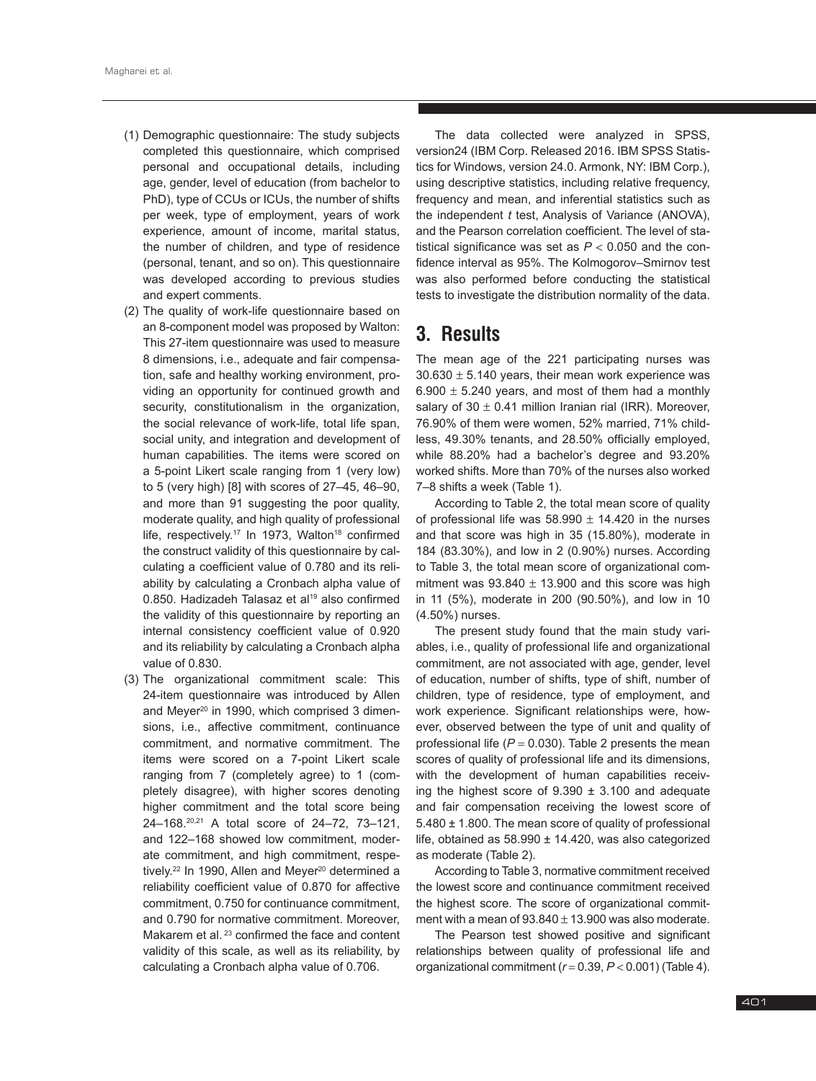- (1) Demographic questionnaire: The study subjects completed this questionnaire, which comprised personal and occupational details, including age, gender, level of education (from bachelor to PhD), type of CCUs or ICUs, the number of shifts per week, type of employment, years of work experience, amount of income, marital status, the number of children, and type of residence (personal, tenant, and so on). This questionnaire was developed according to previous studies and expert comments.
- (2) The quality of work-life questionnaire based on an 8-component model was proposed by Walton: This 27-item questionnaire was used to measure 8 dimensions, i.e., adequate and fair compensation, safe and healthy working environment, providing an opportunity for continued growth and security, constitutionalism in the organization, the social relevance of work-life, total life span, social unity, and integration and development of human capabilities. The items were scored on a 5-point Likert scale ranging from 1 (very low) to 5 (very high)  $[8]$  with scores of 27–45, 46–90. and more than 91 suggesting the poor quality. moderate quality, and high quality of professional life, respectively.<sup>17</sup> In 1973, Walton<sup>18</sup> confirmed the construct validity of this questionnaire by calculating a coefficient value of 0.780 and its reliability by calculating a Cronbach alpha value of 0.850. Hadizadeh Talasaz et al<sup>19</sup> also confirmed the validity of this questionnaire by reporting an internal consistency coefficient value of 0.920 and its reliability by calculating a Cronbach alpha value of 0.830.
- (3) The organizational commitment scale: This 24-item questionnaire was introduced by Allen and Meyer<sup>20</sup> in 1990, which comprised 3 dimensions, i.e., affective commitment, continuance commitment, and normative commitment. The items were scored on a 7-point Likert scale ranging from 7 (completely agree) to 1 (completely disagree), with higher scores denoting higher commitment and the total score being 24–168.20,21 A total score of 24–72, 73–121, and 122–168 showed low commitment, moderate commitment, and high commitment, respetively.<sup>22</sup> In 1990, Allen and Meyer<sup>20</sup> determined a reliability coefficient value of 0.870 for affective commitment, 0.750 for continuance commitment, and 0.790 for normative commitment. Moreover, Makarem et al.<sup>23</sup> confirmed the face and content validity of this scale, as well as its reliability, by calculating a Cronbach alpha value of 0.706.

The data collected were analyzed in SPSS, version24 (IBM Corp. Released 2016. IBM SPSS Statistics for Windows, version 24.0. Armonk, NY: IBM Corp.), using descriptive statistics, including relative frequency, frequency and mean, and inferential statistics such as the independent *t* test, Analysis of Variance (ANOVA), and the Pearson correlation coefficient. The level of statistical significance was set as  $P < 0.050$  and the confidence interval as 95%. The Kolmogorov–Smirnov test was also performed before conducting the statistical tests to investigate the distribution normality of the data.

# **3. Results**

The mean age of the 221 participating nurses was  $30.630 \pm 5.140$  years, their mean work experience was  $6.900 \pm 5.240$  years, and most of them had a monthly salary of  $30 \pm 0.41$  million Iranian rial (IRR). Moreover, 76.90% of them were women, 52% married, 71% childless, 49.30% tenants, and 28.50% officially employed, while 88.20% had a bachelor's degree and 93.20% worked shifts. More than 70% of the nurses also worked 7–8 shifts a week (Table 1).

According to Table 2, the total mean score of quality of professional life was  $58.990 \pm 14.420$  in the nurses and that score was high in 35 (15.80%), moderate in 184 (83.30%), and low in 2 (0.90%) nurses. According to Table 3, the total mean score of organizational commitment was  $93.840 \pm 13.900$  and this score was high in 11 (5%), moderate in 200 (90.50%), and low in 10 (4.50%) nurses.

The present study found that the main study variables, i.e., quality of professional life and organizational commitment, are not associated with age, gender, level of education, number of shifts, type of shift, number of children, type of residence, type of employment, and work experience. Significant relationships were, however, observed between the type of unit and quality of professional life  $(P = 0.030)$ . Table 2 presents the mean scores of quality of professional life and its dimensions, with the development of human capabilities receiving the highest score of  $9.390 \pm 3.100$  and adequate and fair compensation receiving the lowest score of 5.480 ± 1.800. The mean score of quality of professional life, obtained as 58.990 ± 14.420, was also categorized as moderate (Table 2).

According to Table 3, normative commitment received the lowest score and continuance commitment received the highest score. The score of organizational commitment with a mean of  $93.840 \pm 13.900$  was also moderate.

The Pearson test showed positive and significant relationships between quality of professional life and organizational commitment (*r* = 0.39, *P* < 0.001) (Table 4).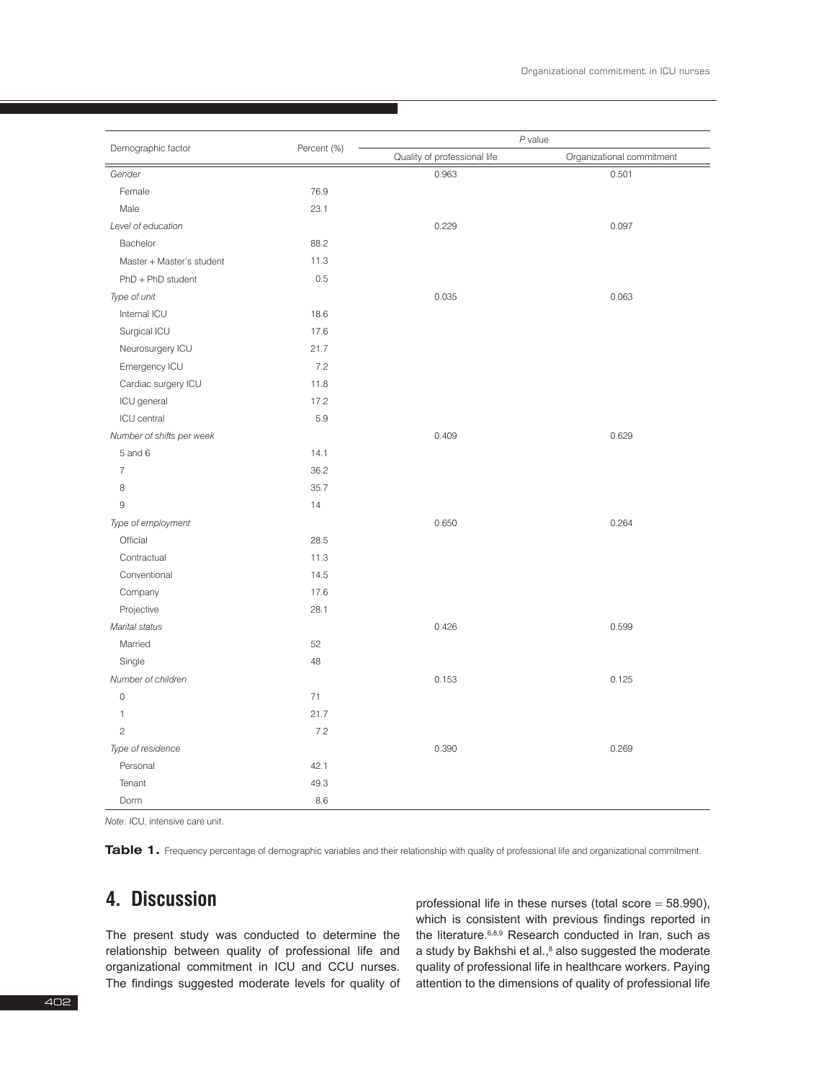| Demographic factor        | Percent (%) | $P$ value                    |                           |  |
|---------------------------|-------------|------------------------------|---------------------------|--|
|                           |             | Quality of professional life | Organizational commitment |  |
| Gender                    |             | 0.963                        | 0.501                     |  |
| Female                    | 76.9        |                              |                           |  |
| Male                      | 23.1        |                              |                           |  |
| Level of education        |             | 0.229                        | 0.097                     |  |
| Bachelor                  | 88.2        |                              |                           |  |
| Master + Master's student | 11.3        |                              |                           |  |
| $PhD + PhD student$       | 0.5         |                              |                           |  |
| Type of unit              |             | 0.035                        | 0.063                     |  |
| Internal ICU              | 18.6        |                              |                           |  |
| Surgical ICU              | 17.6        |                              |                           |  |
| Neurosurgery ICU          | 21.7        |                              |                           |  |
| Emergency ICU             | 7.2         |                              |                           |  |
| Cardiac surgery ICU       | 11.8        |                              |                           |  |
| ICU general               | 17.2        |                              |                           |  |
| ICU central               | 5.9         |                              |                           |  |
| Number of shifts per week |             | 0.409                        | 0.629                     |  |
| 5 and 6                   | 14.1        |                              |                           |  |
| $\overline{7}$            | 36.2        |                              |                           |  |
| 8                         | 35.7        |                              |                           |  |
| $9\,$                     | 14          |                              |                           |  |
| Type of employment        |             | 0.650                        | 0.264                     |  |
| Official                  | 28.5        |                              |                           |  |
| Contractual               | 11.3        |                              |                           |  |
| Conventional              | 14.5        |                              |                           |  |
| Company                   | 17.6        |                              |                           |  |
| Projective                | 28.1        |                              |                           |  |
| Marital status            |             | 0.426                        | 0.599                     |  |
| Married                   | 52          |                              |                           |  |
| Single                    | 48          |                              |                           |  |
| Number of children        |             | 0.153                        | 0.125                     |  |
| 0                         | 71          |                              |                           |  |
| $\mathbf{1}$              | 21.7        |                              |                           |  |
| $\mathbf{2}$              | 7.2         |                              |                           |  |
| Type of residence         |             | 0.390                        | 0.269                     |  |
| Personal                  | 42.1        |                              |                           |  |
| Tenant                    | 49.3        |                              |                           |  |
| Dorm                      | 8.6         |                              |                           |  |

*Note*: ICU, intensive care unit.

Table 1. Frequency percentage of demographic variables and their relationship with quality of professional life and organizational commitment.

# **4. Discussion**

The present study was conducted to determine the relationship between quality of professional life and organizational commitment in ICU and CCU nurses. The findings suggested moderate levels for quality of

professional life in these nurses (total score  $=$  58.990), which is consistent with previous findings reported in the literature.<sup>6,8,9</sup> Research conducted in Iran, such as a study by Bakhshi et al.,<sup>8</sup> also suggested the moderate quality of professional life in healthcare workers. Paying attention to the dimensions of quality of professional life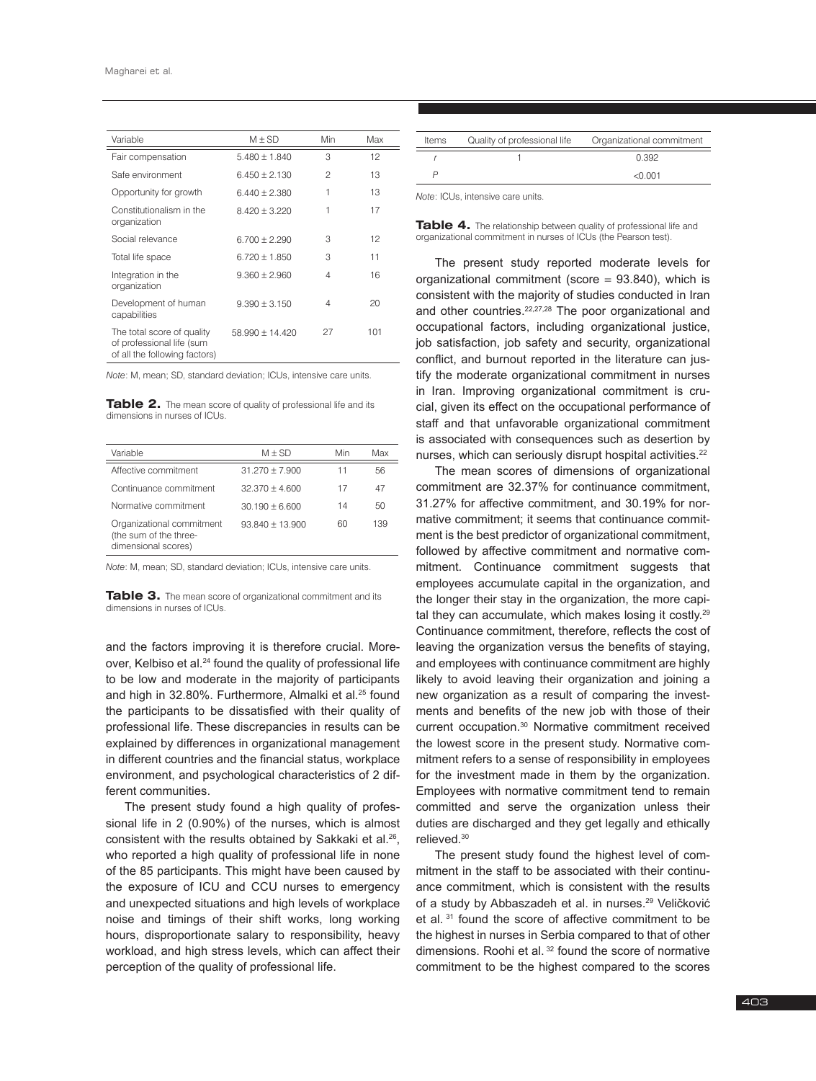| Variable                                                                                 | $M \pm SD$        | Min | Max |
|------------------------------------------------------------------------------------------|-------------------|-----|-----|
| Fair compensation                                                                        | $5.480 + 1.840$   | 3   | 12  |
| Safe environment                                                                         | $6.450 + 2.130$   | 2   | 13  |
| Opportunity for growth                                                                   | $6.440 + 2.380$   | 1   | 13  |
| Constitutionalism in the<br>organization                                                 | $8.420 + 3.220$   | 1   | 17  |
| Social relevance                                                                         | $6.700 + 2.290$   | З   | 12  |
| Total life space                                                                         | $6.720 + 1.850$   | З   | 11  |
| Integration in the<br>organization                                                       | $9.360 + 2.960$   | 4   | 16  |
| Development of human<br>capabilities                                                     | $9.390 + 3.150$   | 4   | 20  |
| The total score of quality<br>of professional life (sum<br>of all the following factors) | $58.990 + 14.420$ | 27  | 101 |

*Note*: M, mean; SD, standard deviation; ICUs, intensive care units.

**Table 2.** The mean score of quality of professional life and its dimensions in nurses of ICUs.

| Variable                                                                   | $M + SD$          | Min | Max |
|----------------------------------------------------------------------------|-------------------|-----|-----|
| Affective commitment                                                       | $31.270 + 7.900$  | 11  | 56  |
| Continuance commitment                                                     | $32.370 + 4.600$  | 17  | 47  |
| Normative commitment                                                       | $30.190 + 6.600$  | 14  | 50  |
| Organizational commitment<br>(the sum of the three-<br>dimensional scores) | $93.840 + 13.900$ | 60  | 139 |

*Note*: M, mean; SD, standard deviation; ICUs, intensive care units.

**Table 3.** The mean score of organizational commitment and its dimensions in nurses of ICUs.

and the factors improving it is therefore crucial. Moreover, Kelbiso et al.<sup>24</sup> found the quality of professional life to be low and moderate in the majority of participants and high in 32.80%. Furthermore, Almalki et al.<sup>25</sup> found the participants to be dissatisfied with their quality of professional life. These discrepancies in results can be explained by differences in organizational management in different countries and the financial status, workplace environment, and psychological characteristics of 2 different communities.

The present study found a high quality of professional life in 2 (0.90%) of the nurses, which is almost consistent with the results obtained by Sakkaki et al.26, who reported a high quality of professional life in none of the 85 participants. This might have been caused by the exposure of ICU and CCU nurses to emergency and unexpected situations and high levels of workplace noise and timings of their shift works, long working hours, disproportionate salary to responsibility, heavy workload, and high stress levels, which can affect their perception of the quality of professional life.

| Items | Quality of professional life | Organizational commitment |
|-------|------------------------------|---------------------------|
|       |                              | 0.392                     |
|       |                              |                           |
|       |                              | < 0.001                   |
|       |                              |                           |

*Note*: ICUs, intensive care units.

Table 4. The relationship between quality of professional life and organizational commitment in nurses of ICUs (the Pearson test).

The present study reported moderate levels for organizational commitment (score  $= 93.840$ ), which is consistent with the majority of studies conducted in Iran and other countries.<sup>22,27,28</sup> The poor organizational and occupational factors, including organizational justice, job satisfaction, job safety and security, organizational conflict, and burnout reported in the literature can justify the moderate organizational commitment in nurses in Iran. Improving organizational commitment is crucial, given its effect on the occupational performance of staff and that unfavorable organizational commitment is associated with consequences such as desertion by nurses, which can seriously disrupt hospital activities.<sup>22</sup>

The mean scores of dimensions of organizational commitment are 32.37% for continuance commitment, 31.27% for affective commitment, and 30.19% for normative commitment; it seems that continuance commitment is the best predictor of organizational commitment, followed by affective commitment and normative commitment. Continuance commitment suggests that employees accumulate capital in the organization, and the longer their stay in the organization, the more capital they can accumulate, which makes losing it costly.<sup>29</sup> Continuance commitment, therefore, reflects the cost of leaving the organization versus the benefits of staying, and employees with continuance commitment are highly likely to avoid leaving their organization and joining a new organization as a result of comparing the investments and benefits of the new job with those of their current occupation.30 Normative commitment received the lowest score in the present study. Normative commitment refers to a sense of responsibility in employees for the investment made in them by the organization. Employees with normative commitment tend to remain committed and serve the organization unless their duties are discharged and they get legally and ethically relieved.30

The present study found the highest level of commitment in the staff to be associated with their continuance commitment, which is consistent with the results of a study by Abbaszadeh et al. in nurses.<sup>29</sup> Veličković et al. 31 found the score of affective commitment to be the highest in nurses in Serbia compared to that of other dimensions. Roohi et al. 32 found the score of normative commitment to be the highest compared to the scores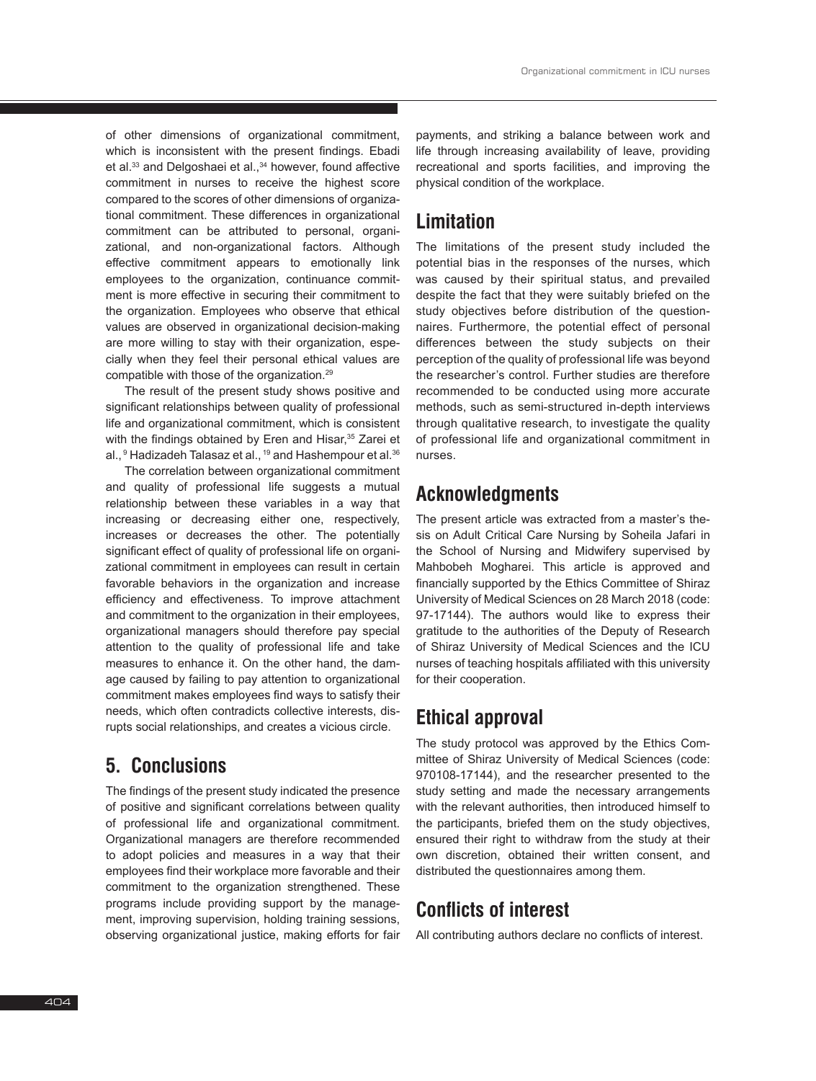of other dimensions of organizational commitment, which is inconsistent with the present findings. Ebadi et al.<sup>33</sup> and Delgoshaei et al.,<sup>34</sup> however, found affective commitment in nurses to receive the highest score compared to the scores of other dimensions of organizational commitment. These differences in organizational commitment can be attributed to personal, organizational, and non-organizational factors. Although effective commitment appears to emotionally link employees to the organization, continuance commitment is more effective in securing their commitment to the organization. Employees who observe that ethical values are observed in organizational decision-making are more willing to stay with their organization, especially when they feel their personal ethical values are compatible with those of the organization.29

The result of the present study shows positive and significant relationships between quality of professional life and organizational commitment, which is consistent with the findings obtained by Eren and Hisar,<sup>35</sup> Zarei et al.,<sup>9</sup> Hadizadeh Talasaz et al., <sup>19</sup> and Hashempour et al.<sup>36</sup>

The correlation between organizational commitment and quality of professional life suggests a mutual relationship between these variables in a way that increasing or decreasing either one, respectively, increases or decreases the other. The potentially significant effect of quality of professional life on organizational commitment in employees can result in certain favorable behaviors in the organization and increase efficiency and effectiveness. To improve attachment and commitment to the organization in their employees, organizational managers should therefore pay special attention to the quality of professional life and take measures to enhance it. On the other hand, the damage caused by failing to pay attention to organizational commitment makes employees find ways to satisfy their needs, which often contradicts collective interests, disrupts social relationships, and creates a vicious circle.

# **5. Conclusions**

The findings of the present study indicated the presence of positive and significant correlations between quality of professional life and organizational commitment. Organizational managers are therefore recommended to adopt policies and measures in a way that their employees find their workplace more favorable and their commitment to the organization strengthened. These programs include providing support by the management, improving supervision, holding training sessions, observing organizational justice, making efforts for fair payments, and striking a balance between work and life through increasing availability of leave, providing recreational and sports facilities, and improving the physical condition of the workplace.

### **Limitation**

The limitations of the present study included the potential bias in the responses of the nurses, which was caused by their spiritual status, and prevailed despite the fact that they were suitably briefed on the study objectives before distribution of the questionnaires. Furthermore, the potential effect of personal differences between the study subjects on their perception of the quality of professional life was beyond the researcher's control. Further studies are therefore recommended to be conducted using more accurate methods, such as semi-structured in-depth interviews through qualitative research, to investigate the quality of professional life and organizational commitment in nurses.

# **Acknowledgments**

The present article was extracted from a master's thesis on Adult Critical Care Nursing by Soheila Jafari in the School of Nursing and Midwifery supervised by Mahbobeh Mogharei. This article is approved and financially supported by the Ethics Committee of Shiraz University of Medical Sciences on 28 March 2018 (code: 97-17144). The authors would like to express their gratitude to the authorities of the Deputy of Research of Shiraz University of Medical Sciences and the ICU nurses of teaching hospitals affiliated with this university for their cooperation.

# **Ethical approval**

The study protocol was approved by the Ethics Committee of Shiraz University of Medical Sciences (code: 970108-17144), and the researcher presented to the study setting and made the necessary arrangements with the relevant authorities, then introduced himself to the participants, briefed them on the study objectives, ensured their right to withdraw from the study at their own discretion, obtained their written consent, and distributed the questionnaires among them.

# **Conflicts of interest**

All contributing authors declare no conflicts of interest.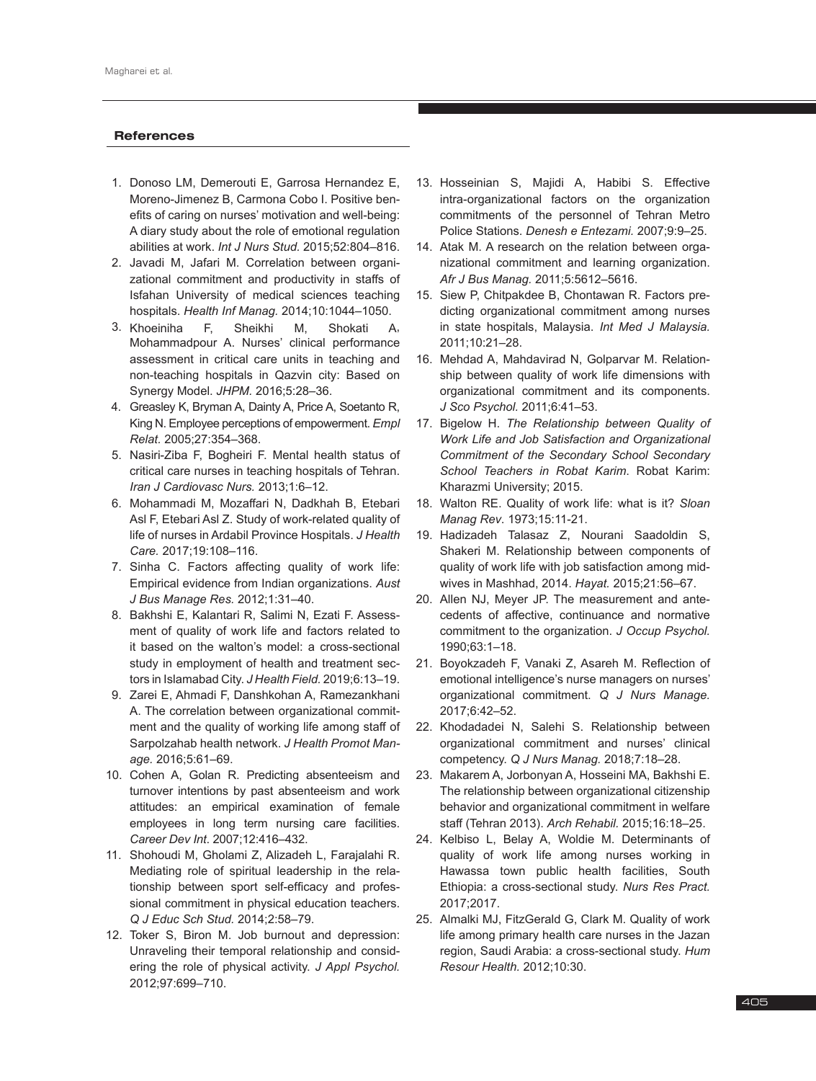#### **References**

- 1. Donoso LM, Demerouti E, Garrosa Hernandez E, Moreno-Jimenez B, Carmona Cobo I. Positive benefits of caring on nurses' motivation and well-being: A diary study about the role of emotional regulation abilities at work. *Int J Nurs Stud.* 2015;52:804–816.
- 2. Javadi M, Jafari M. Correlation between organizational commitment and productivity in staffs of Isfahan University of medical sciences teaching hospitals. *Health Inf Manag.* 2014;10:1044–1050.
- 3. Khoeiniha F, Sheikhi M, Shokati A, Mohammadpour A. Nurses' clinical performance assessment in critical care units in teaching and non-teaching hospitals in Qazvin city: Based on Synergy Model. *JHPM.* 2016;5:28–36.
- 4. Greasley K, Bryman A, Dainty A, Price A, Soetanto R, King N. Employee perceptions of empowerment. *Empl Relat.* 2005;27:354–368.
- 5. Nasiri-Ziba F, Bogheiri F. Mental health status of critical care nurses in teaching hospitals of Tehran. *Iran J Cardiovasc Nurs.* 2013;1:6–12.
- 6. Mohammadi M, Mozaffari N, Dadkhah B, Etebari Asl F, Etebari Asl Z. Study of work-related quality of life of nurses in Ardabil Province Hospitals. *J Health Care.* 2017;19:108–116.
- 7. Sinha C. Factors affecting quality of work life: Empirical evidence from Indian organizations. *Aust J Bus Manage Res.* 2012;1:31–40.
- 8. Bakhshi E, Kalantari R, Salimi N, Ezati F. Assessment of quality of work life and factors related to it based on the walton's model: a cross-sectional study in employment of health and treatment sectors in Islamabad City. *J Health Field.* 2019;6:13–19.
- 9. Zarei E, Ahmadi F, Danshkohan A, Ramezankhani A. The correlation between organizational commitment and the quality of working life among staff of Sarpolzahab health network. *J Health Promot Manage.* 2016;5:61–69.
- 10. Cohen A, Golan R. Predicting absenteeism and turnover intentions by past absenteeism and work attitudes: an empirical examination of female employees in long term nursing care facilities. *Career Dev Int*. 2007;12:416–432.
- 11. Shohoudi M, Gholami Z, Alizadeh L, Farajalahi R. Mediating role of spiritual leadership in the relationship between sport self-efficacy and professional commitment in physical education teachers. *Q J Educ Sch Stud.* 2014;2:58–79.
- 12. Toker S, Biron M. Job burnout and depression: Unraveling their temporal relationship and considering the role of physical activity. *J Appl Psychol.* 2012;97:699–710.
- 13. Hosseinian S, Majidi A, Habibi S. Effective intra-organizational factors on the organization commitments of the personnel of Tehran Metro Police Stations. *Denesh e Entezami.* 2007;9:9–25.
- 14. Atak M. A research on the relation between organizational commitment and learning organization. *Afr J Bus Manag.* 2011;5:5612–5616.
- 15. Siew P, Chitpakdee B, Chontawan R. Factors predicting organizational commitment among nurses in state hospitals, Malaysia. *Int Med J Malaysia.* 2011;10:21–28.
- 16. Mehdad A, Mahdavirad N, Golparvar M. Relationship between quality of work life dimensions with organizational commitment and its components. *J Sco Psychol.* 2011;6:41–53.
- 17. Bigelow H. *The Relationship between Quality of Work Life and Job Satisfaction and Organizational Commitment of the Secondary School Secondary School Teachers in Robat Karim*. Robat Karim: Kharazmi University; 2015.
- 18. Walton RE. Quality of work life: what is it? *Sloan Manag Rev*. 1973;15:11-21.
- 19. Hadizadeh Talasaz Z, Nourani Saadoldin S, Shakeri M. Relationship between components of quality of work life with job satisfaction among midwives in Mashhad, 2014. *Hayat.* 2015;21:56–67.
- 20. Allen NJ, Meyer JP. The measurement and antecedents of affective, continuance and normative commitment to the organization. *J Occup Psychol.* 1990;63:1–18.
- 21. Boyokzadeh F, Vanaki Z, Asareh M. Reflection of emotional intelligence's nurse managers on nurses' organizational commitment. *Q J Nurs Manage.* 2017;6:42–52.
- 22. Khodadadei N, Salehi S. Relationship between organizational commitment and nurses' clinical competency. *Q J Nurs Manag.* 2018;7:18–28.
- 23. Makarem A, Jorbonyan A, Hosseini MA, Bakhshi E. The relationship between organizational citizenship behavior and organizational commitment in welfare staff (Tehran 2013). *Arch Rehabil.* 2015;16:18–25.
- 24. Kelbiso L, Belay A, Woldie M. Determinants of quality of work life among nurses working in Hawassa town public health facilities, South Ethiopia: a cross-sectional study. *Nurs Res Pract.* 2017;2017.
- 25. Almalki MJ, FitzGerald G, Clark M. Quality of work life among primary health care nurses in the Jazan region, Saudi Arabia: a cross-sectional study. *Hum Resour Health.* 2012;10:30.